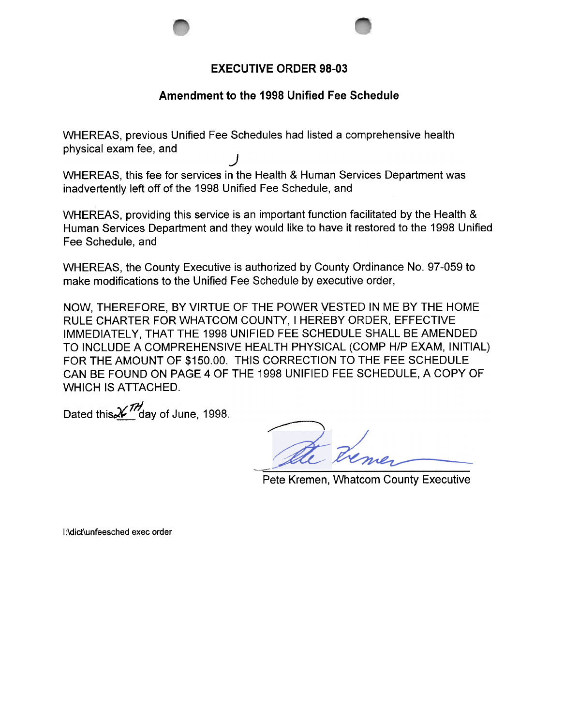

## Amendment to the 1998 Unified Fee Schedule

WHEREAS, previous Unified Fee Schedules had listed a comprehensive health physical exam fee, and

) WHEREAS, this fee for services in the Health & Human Services Department was inadvertently left off of the 1998 Unified Fee Schedule, and

WHEREAS, providing this service is an important function facilitated by the Health & Human Services Department and they would like to have it restored to the 1998 Unified Fee Schedule, and

WHEREAS, the County Executive is authorized by County Ordinance No.97-059 to make modifications to the Unified Fee Schedule by executive order,

NOW, THEREFORE, BY VIRTUE OF THE POWER VESTED IN ME BY THE HOME RULE CHARTER FOR WHATCOM COUNTY, I HEREBY ORDER, EFFECTIVE IMMEDIATELY, THAT THE 1998 UNIFIED FEE SCHEDULE SHALL BE AMENDED TO INCLUDE A COMPREHENSIVE HEALTH PHYSICAL (COMP H/P EXAM, INITIAL) FOR THE AMOUNT OF \$150.00. THIS CORRECTION TO THE FEE SCHEDULE CAN BE FOUND ON PAGE 4 OF THE 1998 UNIFIED FEE SCHEDULE, A COPY OF WHICH IS ATTACHED.

Dated this  $\chi$ <sup>77</sup> day of June, 1998.

Pete Kremen, Whatcom County Executive

I:\dict\unfeesched exec order